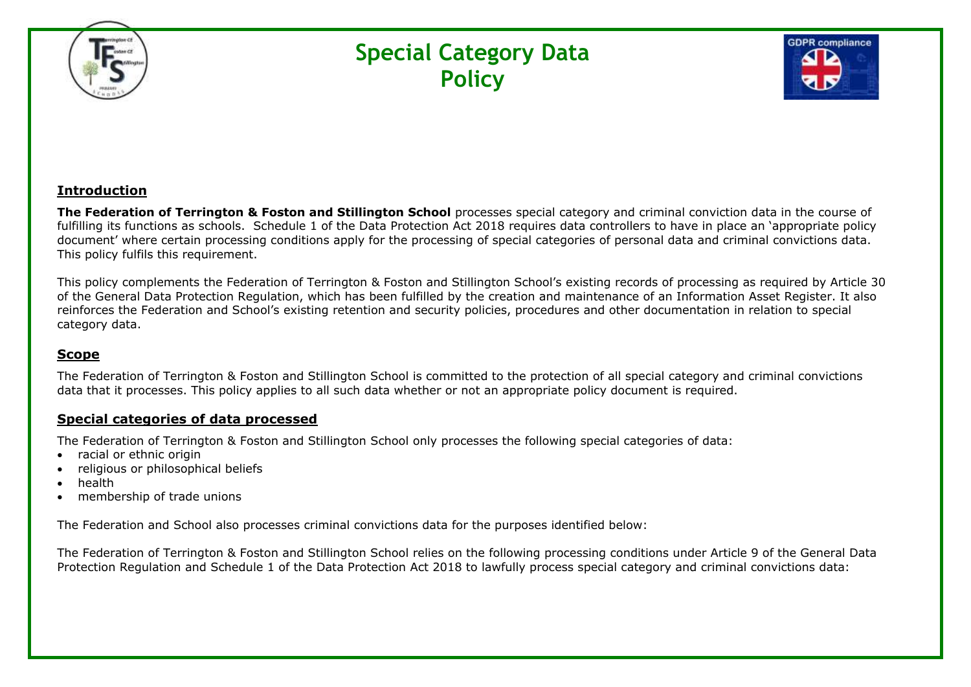

# **Special Category Data Policy**



#### **Introduction**

**The Federation of Terrington & Foston and Stillington School** processes special category and criminal conviction data in the course of fulfilling its functions as schools. Schedule 1 of the Data Protection Act 2018 requires data controllers to have in place an 'appropriate policy document' where certain processing conditions apply for the processing of special categories of personal data and criminal convictions data. This policy fulfils this requirement.

This policy complements the Federation of Terrington & Foston and Stillington School's existing records of processing as required by Article 30 of the General Data Protection Regulation, which has been fulfilled by the creation and maintenance of an Information Asset Register. It also reinforces the Federation and School's existing retention and security policies, procedures and other documentation in relation to special category data.

#### **Scope**

The Federation of Terrington & Foston and Stillington School is committed to the protection of all special category and criminal convictions data that it processes. This policy applies to all such data whether or not an appropriate policy document is required.

#### **Special categories of data processed**

The Federation of Terrington & Foston and Stillington School only processes the following special categories of data:

- racial or ethnic origin
- religious or philosophical beliefs
- health
- membership of trade unions

The Federation and School also processes criminal convictions data for the purposes identified below:

The Federation of Terrington & Foston and Stillington School relies on the following processing conditions under Article 9 of the General Data Protection Regulation and Schedule 1 of the Data Protection Act 2018 to lawfully process special category and criminal convictions data: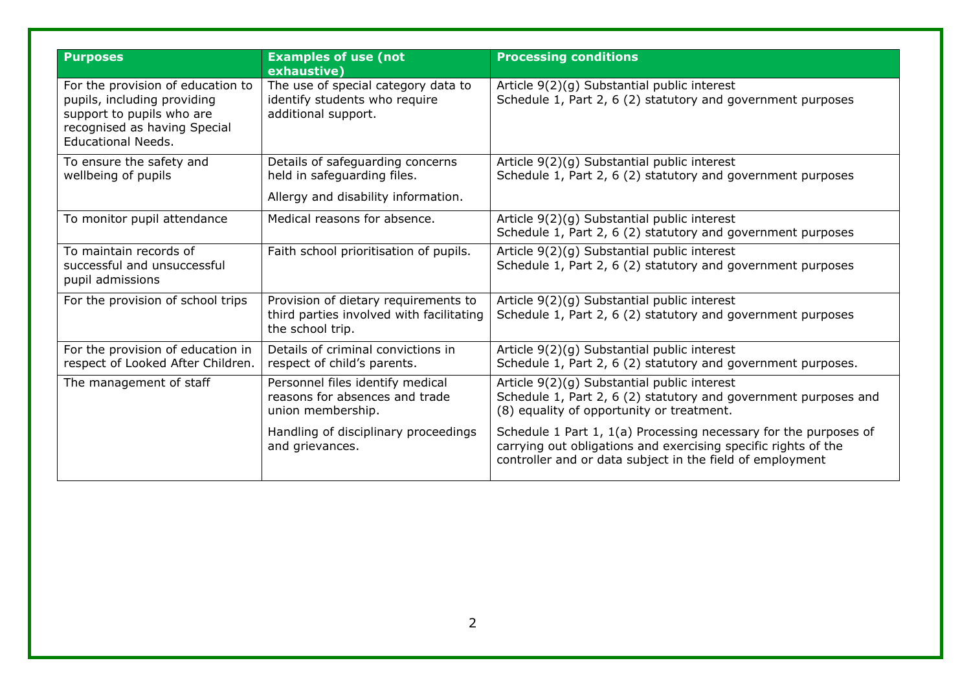| <b>Purposes</b>                                                                                                                                            | <b>Examples of use (not</b><br>exhaustive)                                                           | <b>Processing conditions</b>                                                                                                                                                                    |
|------------------------------------------------------------------------------------------------------------------------------------------------------------|------------------------------------------------------------------------------------------------------|-------------------------------------------------------------------------------------------------------------------------------------------------------------------------------------------------|
| For the provision of education to<br>pupils, including providing<br>support to pupils who are<br>recognised as having Special<br><b>Educational Needs.</b> | The use of special category data to<br>identify students who require<br>additional support.          | Article 9(2)(g) Substantial public interest<br>Schedule 1, Part 2, 6 (2) statutory and government purposes                                                                                      |
| To ensure the safety and<br>wellbeing of pupils                                                                                                            | Details of safeguarding concerns<br>held in safeguarding files.                                      | Article 9(2)(g) Substantial public interest<br>Schedule 1, Part 2, 6 (2) statutory and government purposes                                                                                      |
|                                                                                                                                                            | Allergy and disability information.                                                                  |                                                                                                                                                                                                 |
| To monitor pupil attendance                                                                                                                                | Medical reasons for absence.                                                                         | Article 9(2)(g) Substantial public interest<br>Schedule 1, Part 2, 6 (2) statutory and government purposes                                                                                      |
| To maintain records of<br>successful and unsuccessful<br>pupil admissions                                                                                  | Faith school prioritisation of pupils.                                                               | Article 9(2)(g) Substantial public interest<br>Schedule 1, Part 2, 6 (2) statutory and government purposes                                                                                      |
| For the provision of school trips                                                                                                                          | Provision of dietary requirements to<br>third parties involved with facilitating<br>the school trip. | Article 9(2)(g) Substantial public interest<br>Schedule 1, Part 2, 6 (2) statutory and government purposes                                                                                      |
| For the provision of education in<br>respect of Looked After Children.                                                                                     | Details of criminal convictions in<br>respect of child's parents.                                    | Article 9(2)(g) Substantial public interest<br>Schedule 1, Part 2, 6 (2) statutory and government purposes.                                                                                     |
| The management of staff                                                                                                                                    | Personnel files identify medical<br>reasons for absences and trade<br>union membership.              | Article 9(2)(g) Substantial public interest<br>Schedule 1, Part 2, 6 (2) statutory and government purposes and<br>(8) equality of opportunity or treatment.                                     |
|                                                                                                                                                            | Handling of disciplinary proceedings<br>and grievances.                                              | Schedule 1 Part 1, 1(a) Processing necessary for the purposes of<br>carrying out obligations and exercising specific rights of the<br>controller and or data subject in the field of employment |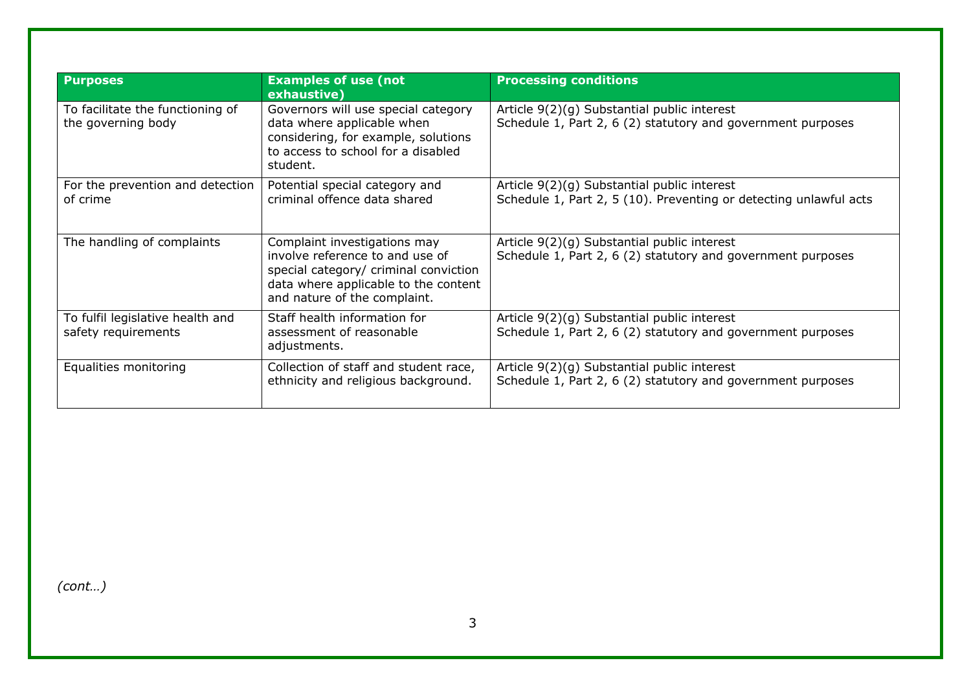| <b>Purposes</b>                                         | <b>Examples of use (not</b><br>exhaustive)                                                                                                                                       | <b>Processing conditions</b>                                                                                     |
|---------------------------------------------------------|----------------------------------------------------------------------------------------------------------------------------------------------------------------------------------|------------------------------------------------------------------------------------------------------------------|
| To facilitate the functioning of<br>the governing body  | Governors will use special category<br>data where applicable when<br>considering, for example, solutions<br>to access to school for a disabled<br>student.                       | Article 9(2)(g) Substantial public interest<br>Schedule 1, Part 2, 6 (2) statutory and government purposes       |
| For the prevention and detection<br>of crime            | Potential special category and<br>criminal offence data shared                                                                                                                   | Article 9(2)(g) Substantial public interest<br>Schedule 1, Part 2, 5 (10). Preventing or detecting unlawful acts |
| The handling of complaints                              | Complaint investigations may<br>involve reference to and use of<br>special category/ criminal conviction<br>data where applicable to the content<br>and nature of the complaint. | Article 9(2)(g) Substantial public interest<br>Schedule 1, Part 2, 6 (2) statutory and government purposes       |
| To fulfil legislative health and<br>safety requirements | Staff health information for<br>assessment of reasonable<br>adjustments.                                                                                                         | Article 9(2)(g) Substantial public interest<br>Schedule 1, Part 2, 6 (2) statutory and government purposes       |
| Equalities monitoring                                   | Collection of staff and student race,<br>ethnicity and religious background.                                                                                                     | Article 9(2)(g) Substantial public interest<br>Schedule 1, Part 2, 6 (2) statutory and government purposes       |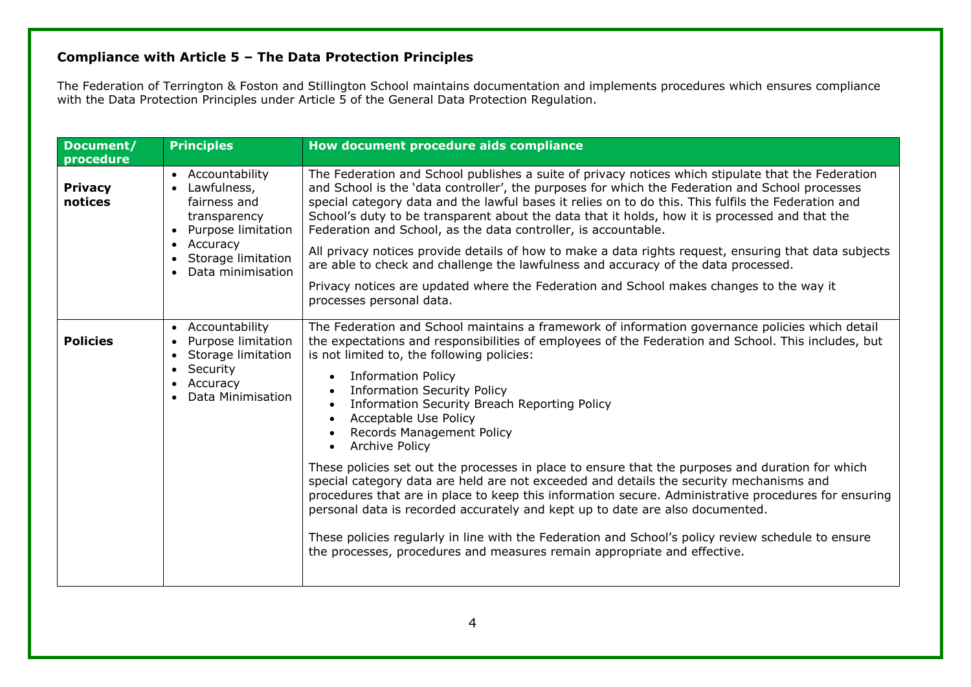## **Compliance with Article 5 – The Data Protection Principles**

The Federation of Terrington & Foston and Stillington School maintains documentation and implements procedures which ensures compliance with the Data Protection Principles under Article 5 of the General Data Protection Regulation.

| Document/                 | <b>Principles</b>                                                                                                                                | How document procedure aids compliance                                                                                                                                                                                                                                                                                                                                                                                                                                                                                                                                 |
|---------------------------|--------------------------------------------------------------------------------------------------------------------------------------------------|------------------------------------------------------------------------------------------------------------------------------------------------------------------------------------------------------------------------------------------------------------------------------------------------------------------------------------------------------------------------------------------------------------------------------------------------------------------------------------------------------------------------------------------------------------------------|
| procedure                 |                                                                                                                                                  |                                                                                                                                                                                                                                                                                                                                                                                                                                                                                                                                                                        |
| <b>Privacy</b><br>notices | Accountability<br>$\bullet$<br>Lawfulness,<br>$\bullet$<br>fairness and<br>transparency<br>Purpose limitation<br>$\bullet$                       | The Federation and School publishes a suite of privacy notices which stipulate that the Federation<br>and School is the 'data controller', the purposes for which the Federation and School processes<br>special category data and the lawful bases it relies on to do this. This fulfils the Federation and<br>School's duty to be transparent about the data that it holds, how it is processed and that the<br>Federation and School, as the data controller, is accountable.                                                                                       |
|                           | Accuracy<br>$\bullet$<br>Storage limitation<br>Data minimisation                                                                                 | All privacy notices provide details of how to make a data rights request, ensuring that data subjects<br>are able to check and challenge the lawfulness and accuracy of the data processed.                                                                                                                                                                                                                                                                                                                                                                            |
|                           |                                                                                                                                                  | Privacy notices are updated where the Federation and School makes changes to the way it<br>processes personal data.                                                                                                                                                                                                                                                                                                                                                                                                                                                    |
| <b>Policies</b>           | • Accountability<br>Purpose limitation<br>$\bullet$<br>Storage limitation<br>$\bullet$<br>Security<br>$\bullet$<br>Accuracy<br>Data Minimisation | The Federation and School maintains a framework of information governance policies which detail<br>the expectations and responsibilities of employees of the Federation and School. This includes, but<br>is not limited to, the following policies:<br><b>Information Policy</b><br>$\bullet$<br><b>Information Security Policy</b><br>$\bullet$<br>Information Security Breach Reporting Policy<br>$\bullet$<br>Acceptable Use Policy<br>$\bullet$<br>Records Management Policy<br>$\bullet$<br><b>Archive Policy</b><br>$\bullet$                                   |
|                           |                                                                                                                                                  | These policies set out the processes in place to ensure that the purposes and duration for which<br>special category data are held are not exceeded and details the security mechanisms and<br>procedures that are in place to keep this information secure. Administrative procedures for ensuring<br>personal data is recorded accurately and kept up to date are also documented.<br>These policies regularly in line with the Federation and School's policy review schedule to ensure<br>the processes, procedures and measures remain appropriate and effective. |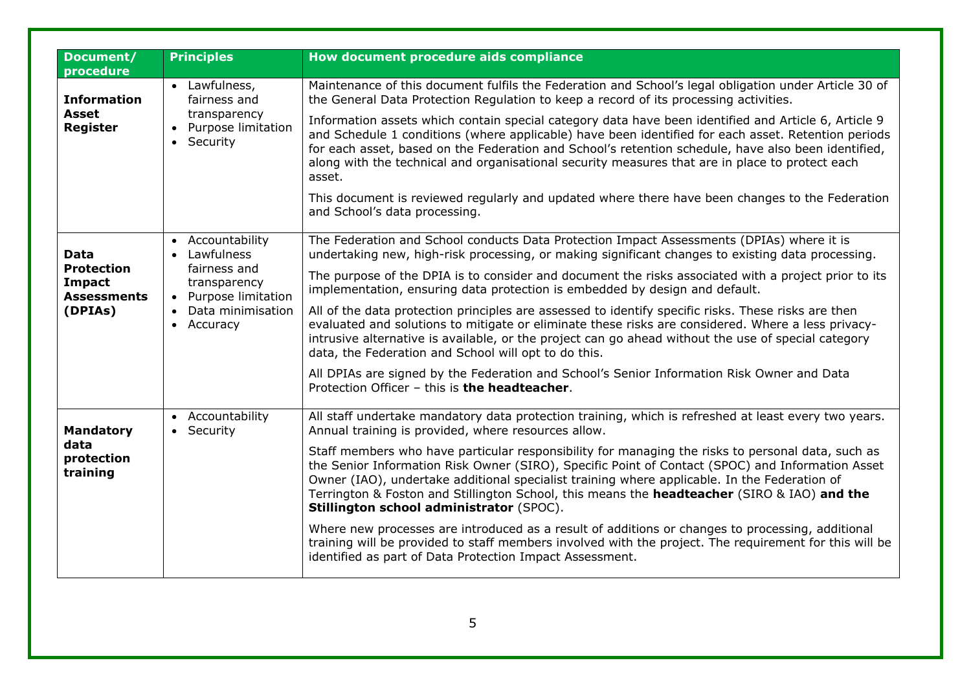| Document/                                                                   | <b>Principles</b>                                                                                                                                 | How document procedure aids compliance                                                                                                                                                                                                                                                                                                                                                                                                                                                                                                                                                                                                                                                                                                                                                                                                                                                                           |
|-----------------------------------------------------------------------------|---------------------------------------------------------------------------------------------------------------------------------------------------|------------------------------------------------------------------------------------------------------------------------------------------------------------------------------------------------------------------------------------------------------------------------------------------------------------------------------------------------------------------------------------------------------------------------------------------------------------------------------------------------------------------------------------------------------------------------------------------------------------------------------------------------------------------------------------------------------------------------------------------------------------------------------------------------------------------------------------------------------------------------------------------------------------------|
| procedure<br><b>Information</b><br><b>Asset</b><br><b>Register</b>          | • Lawfulness,<br>fairness and<br>transparency<br>Purpose limitation<br>• Security                                                                 | Maintenance of this document fulfils the Federation and School's legal obligation under Article 30 of<br>the General Data Protection Regulation to keep a record of its processing activities.<br>Information assets which contain special category data have been identified and Article 6, Article 9<br>and Schedule 1 conditions (where applicable) have been identified for each asset. Retention periods<br>for each asset, based on the Federation and School's retention schedule, have also been identified,<br>along with the technical and organisational security measures that are in place to protect each<br>asset.<br>This document is reviewed regularly and updated where there have been changes to the Federation<br>and School's data processing.                                                                                                                                            |
| <b>Data</b><br><b>Protection</b><br>Impact<br><b>Assessments</b><br>(DPIAs) | • Accountability<br>Lawfulness<br>$\bullet$<br>fairness and<br>transparency<br>Purpose limitation<br>Data minimisation<br>$\bullet$<br>• Accuracy | The Federation and School conducts Data Protection Impact Assessments (DPIAs) where it is<br>undertaking new, high-risk processing, or making significant changes to existing data processing.<br>The purpose of the DPIA is to consider and document the risks associated with a project prior to its<br>implementation, ensuring data protection is embedded by design and default.<br>All of the data protection principles are assessed to identify specific risks. These risks are then<br>evaluated and solutions to mitigate or eliminate these risks are considered. Where a less privacy-<br>intrusive alternative is available, or the project can go ahead without the use of special category<br>data, the Federation and School will opt to do this.<br>All DPIAs are signed by the Federation and School's Senior Information Risk Owner and Data<br>Protection Officer - this is the headteacher. |
| <b>Mandatory</b><br>data<br>protection<br>training                          | • Accountability<br>• Security                                                                                                                    | All staff undertake mandatory data protection training, which is refreshed at least every two years.<br>Annual training is provided, where resources allow.<br>Staff members who have particular responsibility for managing the risks to personal data, such as<br>the Senior Information Risk Owner (SIRO), Specific Point of Contact (SPOC) and Information Asset<br>Owner (IAO), undertake additional specialist training where applicable. In the Federation of<br>Terrington & Foston and Stillington School, this means the headteacher (SIRO & IAO) and the<br>Stillington school administrator (SPOC).<br>Where new processes are introduced as a result of additions or changes to processing, additional<br>training will be provided to staff members involved with the project. The requirement for this will be<br>identified as part of Data Protection Impact Assessment.                        |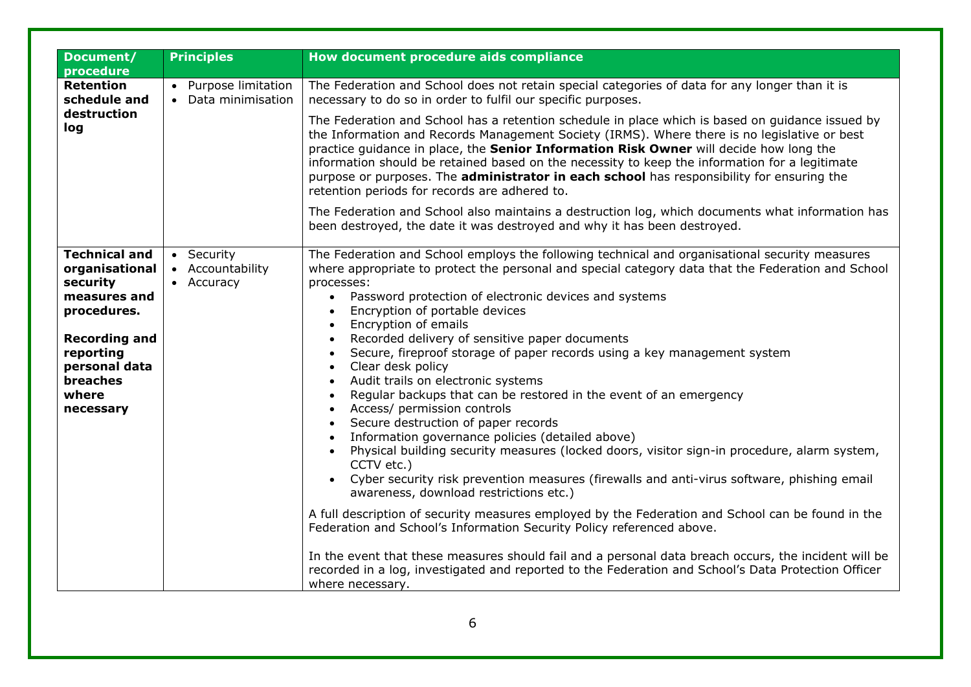| Document/                                                                                                                                                                        | <b>Principles</b>                            | How document procedure aids compliance                                                                                                                                                                                                                                                                                                                                                                                                                                                                                                                                                                                                                                                                                                                                                                                                                                                                                                                                                                                                                                                                                                                                                                                                                                                                                                                                                                                                                                                                                         |  |
|----------------------------------------------------------------------------------------------------------------------------------------------------------------------------------|----------------------------------------------|--------------------------------------------------------------------------------------------------------------------------------------------------------------------------------------------------------------------------------------------------------------------------------------------------------------------------------------------------------------------------------------------------------------------------------------------------------------------------------------------------------------------------------------------------------------------------------------------------------------------------------------------------------------------------------------------------------------------------------------------------------------------------------------------------------------------------------------------------------------------------------------------------------------------------------------------------------------------------------------------------------------------------------------------------------------------------------------------------------------------------------------------------------------------------------------------------------------------------------------------------------------------------------------------------------------------------------------------------------------------------------------------------------------------------------------------------------------------------------------------------------------------------------|--|
| procedure                                                                                                                                                                        |                                              |                                                                                                                                                                                                                                                                                                                                                                                                                                                                                                                                                                                                                                                                                                                                                                                                                                                                                                                                                                                                                                                                                                                                                                                                                                                                                                                                                                                                                                                                                                                                |  |
| <b>Retention</b><br>schedule and                                                                                                                                                 | • Purpose limitation<br>• Data minimisation  | The Federation and School does not retain special categories of data for any longer than it is<br>necessary to do so in order to fulfil our specific purposes.                                                                                                                                                                                                                                                                                                                                                                                                                                                                                                                                                                                                                                                                                                                                                                                                                                                                                                                                                                                                                                                                                                                                                                                                                                                                                                                                                                 |  |
| destruction<br>log                                                                                                                                                               |                                              | The Federation and School has a retention schedule in place which is based on guidance issued by<br>the Information and Records Management Society (IRMS). Where there is no legislative or best<br>practice guidance in place, the Senior Information Risk Owner will decide how long the<br>information should be retained based on the necessity to keep the information for a legitimate<br>purpose or purposes. The administrator in each school has responsibility for ensuring the<br>retention periods for records are adhered to.                                                                                                                                                                                                                                                                                                                                                                                                                                                                                                                                                                                                                                                                                                                                                                                                                                                                                                                                                                                     |  |
|                                                                                                                                                                                  |                                              | The Federation and School also maintains a destruction log, which documents what information has<br>been destroyed, the date it was destroyed and why it has been destroyed.                                                                                                                                                                                                                                                                                                                                                                                                                                                                                                                                                                                                                                                                                                                                                                                                                                                                                                                                                                                                                                                                                                                                                                                                                                                                                                                                                   |  |
| <b>Technical and</b><br>organisational<br>security<br>measures and<br>procedures.<br><b>Recording and</b><br>reporting<br>personal data<br><b>breaches</b><br>where<br>necessary | • Security<br>• Accountability<br>• Accuracy | The Federation and School employs the following technical and organisational security measures<br>where appropriate to protect the personal and special category data that the Federation and School<br>processes:<br>Password protection of electronic devices and systems<br>$\bullet$<br>Encryption of portable devices<br>$\bullet$<br>Encryption of emails<br>$\bullet$<br>Recorded delivery of sensitive paper documents<br>$\bullet$<br>Secure, fireproof storage of paper records using a key management system<br>Clear desk policy<br>$\bullet$<br>Audit trails on electronic systems<br>$\bullet$<br>Regular backups that can be restored in the event of an emergency<br>$\bullet$<br>Access/ permission controls<br>$\bullet$<br>Secure destruction of paper records<br>$\bullet$<br>Information governance policies (detailed above)<br>Physical building security measures (locked doors, visitor sign-in procedure, alarm system,<br>$\bullet$<br>CCTV etc.)<br>Cyber security risk prevention measures (firewalls and anti-virus software, phishing email<br>$\bullet$<br>awareness, download restrictions etc.)<br>A full description of security measures employed by the Federation and School can be found in the<br>Federation and School's Information Security Policy referenced above.<br>In the event that these measures should fail and a personal data breach occurs, the incident will be<br>recorded in a log, investigated and reported to the Federation and School's Data Protection Officer |  |